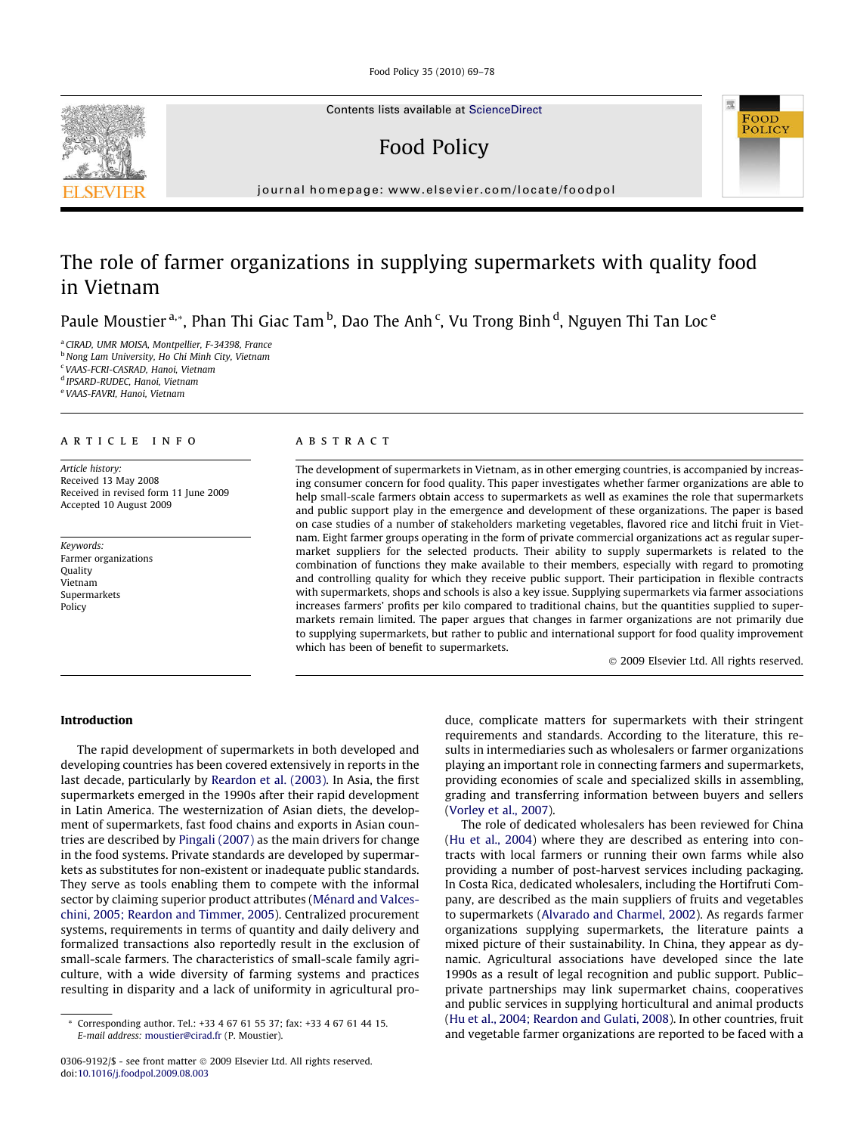Food Policy 35 (2010) 69–78

Contents lists available at [ScienceDirect](http://www.sciencedirect.com/science/journal/03069192)

## Food Policy



journal homepage: [www.elsevier.com/locate/foodpol](http://www.elsevier.com/locate/foodpol)

### The role of farmer organizations in supplying supermarkets with quality food in Vietnam

Paule Moustier<sup>a,</sup>\*, Phan Thi Giac Tam <sup>b</sup>, Dao The Anh <sup>c</sup>, Vu Trong Binh <sup>d</sup>, Nguyen Thi Tan Loc <sup>e</sup>

<sup>a</sup> CIRAD, UMR MOISA, Montpellier, F-34398, France <sup>b</sup> Nong Lam University, Ho Chi Minh City, Vietnam

<sup>c</sup> VAAS-FCRI-CASRAD, Hanoi, Vietnam

<sup>d</sup> IPSARD-RUDEC, Hanoi, Vietnam

<sup>e</sup> VAAS-FAVRI, Hanoi, Vietnam

#### article info

Article history: Received 13 May 2008 Received in revised form 11 June 2009 Accepted 10 August 2009

Keywords: Farmer organizations Quality Vietnam Supermarkets Policy

#### ABSTRACT

The development of supermarkets in Vietnam, as in other emerging countries, is accompanied by increasing consumer concern for food quality. This paper investigates whether farmer organizations are able to help small-scale farmers obtain access to supermarkets as well as examines the role that supermarkets and public support play in the emergence and development of these organizations. The paper is based on case studies of a number of stakeholders marketing vegetables, flavored rice and litchi fruit in Vietnam. Eight farmer groups operating in the form of private commercial organizations act as regular supermarket suppliers for the selected products. Their ability to supply supermarkets is related to the combination of functions they make available to their members, especially with regard to promoting and controlling quality for which they receive public support. Their participation in flexible contracts with supermarkets, shops and schools is also a key issue. Supplying supermarkets via farmer associations increases farmers' profits per kilo compared to traditional chains, but the quantities supplied to supermarkets remain limited. The paper argues that changes in farmer organizations are not primarily due to supplying supermarkets, but rather to public and international support for food quality improvement which has been of benefit to supermarkets.

- 2009 Elsevier Ltd. All rights reserved.

#### Introduction

The rapid development of supermarkets in both developed and developing countries has been covered extensively in reports in the last decade, particularly by [Reardon et al. \(2003\)](#page--1-0). In Asia, the first supermarkets emerged in the 1990s after their rapid development in Latin America. The westernization of Asian diets, the development of supermarkets, fast food chains and exports in Asian countries are described by [Pingali \(2007\)](#page--1-0) as the main drivers for change in the food systems. Private standards are developed by supermarkets as substitutes for non-existent or inadequate public standards. They serve as tools enabling them to compete with the informal sector by claiming superior product attributes [\(Ménard and Valces](#page--1-0)[chini, 2005; Reardon and Timmer, 2005](#page--1-0)). Centralized procurement systems, requirements in terms of quantity and daily delivery and formalized transactions also reportedly result in the exclusion of small-scale farmers. The characteristics of small-scale family agriculture, with a wide diversity of farming systems and practices resulting in disparity and a lack of uniformity in agricultural produce, complicate matters for supermarkets with their stringent requirements and standards. According to the literature, this results in intermediaries such as wholesalers or farmer organizations playing an important role in connecting farmers and supermarkets, providing economies of scale and specialized skills in assembling, grading and transferring information between buyers and sellers ([Vorley et al., 2007\)](#page--1-0).

The role of dedicated wholesalers has been reviewed for China ([Hu et al., 2004\)](#page--1-0) where they are described as entering into contracts with local farmers or running their own farms while also providing a number of post-harvest services including packaging. In Costa Rica, dedicated wholesalers, including the Hortifruti Company, are described as the main suppliers of fruits and vegetables to supermarkets [\(Alvarado and Charmel, 2002](#page--1-0)). As regards farmer organizations supplying supermarkets, the literature paints a mixed picture of their sustainability. In China, they appear as dynamic. Agricultural associations have developed since the late 1990s as a result of legal recognition and public support. Public– private partnerships may link supermarket chains, cooperatives and public services in supplying horticultural and animal products ([Hu et al., 2004; Reardon and Gulati, 2008](#page--1-0)). In other countries, fruit and vegetable farmer organizations are reported to be faced with a



Corresponding author. Tel.: +33 4 67 61 55 37; fax: +33 4 67 61 44 15. E-mail address: [moustier@cirad.fr](mailto:moustier@cirad.fr) (P. Moustier).

<sup>0306-9192/\$ -</sup> see front matter © 2009 Elsevier Ltd. All rights reserved. doi[:10.1016/j.foodpol.2009.08.003](http://dx.doi.org/10.1016/j.foodpol.2009.08.003)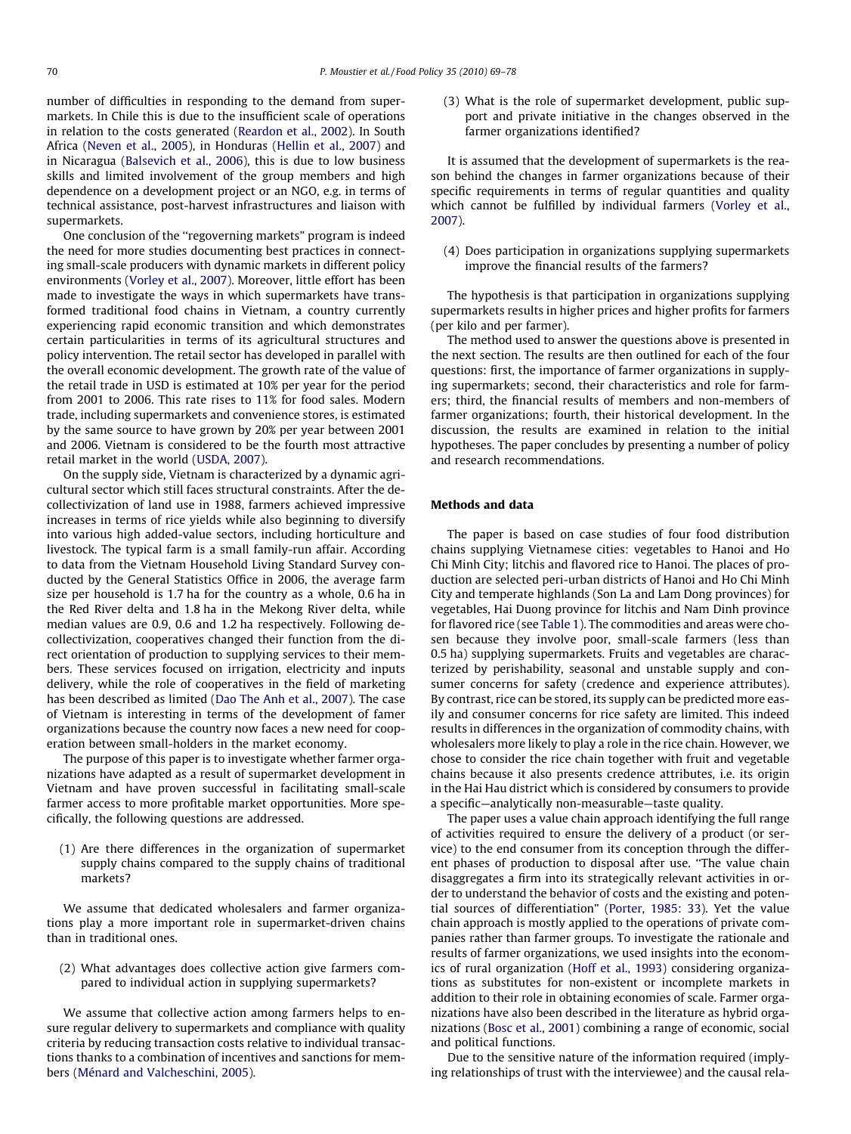number of difficulties in responding to the demand from supermarkets. In Chile this is due to the insufficient scale of operations in relation to the costs generated ([Reardon et al., 2002\)](#page--1-0). In South Africa [\(Neven et al., 2005\)](#page--1-0), in Honduras ([Hellin et al., 2007](#page--1-0)) and in Nicaragua ([Balsevich et al., 2006](#page--1-0)), this is due to low business skills and limited involvement of the group members and high dependence on a development project or an NGO, e.g. in terms of technical assistance, post-harvest infrastructures and liaison with supermarkets.

One conclusion of the ''regoverning markets" program is indeed the need for more studies documenting best practices in connecting small-scale producers with dynamic markets in different policy environments ([Vorley et al., 2007](#page--1-0)). Moreover, little effort has been made to investigate the ways in which supermarkets have transformed traditional food chains in Vietnam, a country currently experiencing rapid economic transition and which demonstrates certain particularities in terms of its agricultural structures and policy intervention. The retail sector has developed in parallel with the overall economic development. The growth rate of the value of the retail trade in USD is estimated at 10% per year for the period from 2001 to 2006. This rate rises to 11% for food sales. Modern trade, including supermarkets and convenience stores, is estimated by the same source to have grown by 20% per year between 2001 and 2006. Vietnam is considered to be the fourth most attractive retail market in the world ([USDA, 2007](#page--1-0)).

On the supply side, Vietnam is characterized by a dynamic agricultural sector which still faces structural constraints. After the decollectivization of land use in 1988, farmers achieved impressive increases in terms of rice yields while also beginning to diversify into various high added-value sectors, including horticulture and livestock. The typical farm is a small family-run affair. According to data from the Vietnam Household Living Standard Survey conducted by the General Statistics Office in 2006, the average farm size per household is 1.7 ha for the country as a whole, 0.6 ha in the Red River delta and 1.8 ha in the Mekong River delta, while median values are 0.9, 0.6 and 1.2 ha respectively. Following decollectivization, cooperatives changed their function from the direct orientation of production to supplying services to their members. These services focused on irrigation, electricity and inputs delivery, while the role of cooperatives in the field of marketing has been described as limited ([Dao The Anh et al., 2007\)](#page--1-0). The case of Vietnam is interesting in terms of the development of famer organizations because the country now faces a new need for cooperation between small-holders in the market economy.

The purpose of this paper is to investigate whether farmer organizations have adapted as a result of supermarket development in Vietnam and have proven successful in facilitating small-scale farmer access to more profitable market opportunities. More specifically, the following questions are addressed.

(1) Are there differences in the organization of supermarket supply chains compared to the supply chains of traditional markets?

We assume that dedicated wholesalers and farmer organizations play a more important role in supermarket-driven chains than in traditional ones.

(2) What advantages does collective action give farmers compared to individual action in supplying supermarkets?

We assume that collective action among farmers helps to ensure regular delivery to supermarkets and compliance with quality criteria by reducing transaction costs relative to individual transactions thanks to a combination of incentives and sanctions for members [\(Ménard and Valcheschini, 2005](#page--1-0)).

(3) What is the role of supermarket development, public support and private initiative in the changes observed in the farmer organizations identified?

It is assumed that the development of supermarkets is the reason behind the changes in farmer organizations because of their specific requirements in terms of regular quantities and quality which cannot be fulfilled by individual farmers [\(Vorley et al.,](#page--1-0) [2007\)](#page--1-0).

(4) Does participation in organizations supplying supermarkets improve the financial results of the farmers?

The hypothesis is that participation in organizations supplying supermarkets results in higher prices and higher profits for farmers (per kilo and per farmer).

The method used to answer the questions above is presented in the next section. The results are then outlined for each of the four questions: first, the importance of farmer organizations in supplying supermarkets; second, their characteristics and role for farmers; third, the financial results of members and non-members of farmer organizations; fourth, their historical development. In the discussion, the results are examined in relation to the initial hypotheses. The paper concludes by presenting a number of policy and research recommendations.

#### Methods and data

The paper is based on case studies of four food distribution chains supplying Vietnamese cities: vegetables to Hanoi and Ho Chi Minh City; litchis and flavored rice to Hanoi. The places of production are selected peri-urban districts of Hanoi and Ho Chi Minh City and temperate highlands (Son La and Lam Dong provinces) for vegetables, Hai Duong province for litchis and Nam Dinh province for flavored rice (see [Table 1\)](#page--1-0). The commodities and areas were chosen because they involve poor, small-scale farmers (less than 0.5 ha) supplying supermarkets. Fruits and vegetables are characterized by perishability, seasonal and unstable supply and consumer concerns for safety (credence and experience attributes). By contrast, rice can be stored, its supply can be predicted more easily and consumer concerns for rice safety are limited. This indeed results in differences in the organization of commodity chains, with wholesalers more likely to play a role in the rice chain. However, we chose to consider the rice chain together with fruit and vegetable chains because it also presents credence attributes, i.e. its origin in the Hai Hau district which is considered by consumers to provide a specific—analytically non-measurable—taste quality.

The paper uses a value chain approach identifying the full range of activities required to ensure the delivery of a product (or service) to the end consumer from its conception through the different phases of production to disposal after use. ''The value chain disaggregates a firm into its strategically relevant activities in order to understand the behavior of costs and the existing and potential sources of differentiation" [\(Porter, 1985: 33\)](#page--1-0). Yet the value chain approach is mostly applied to the operations of private companies rather than farmer groups. To investigate the rationale and results of farmer organizations, we used insights into the economics of rural organization ([Hoff et al., 1993\)](#page--1-0) considering organizations as substitutes for non-existent or incomplete markets in addition to their role in obtaining economies of scale. Farmer organizations have also been described in the literature as hybrid organizations ([Bosc et al., 2001\)](#page--1-0) combining a range of economic, social and political functions.

Due to the sensitive nature of the information required (implying relationships of trust with the interviewee) and the causal rela-